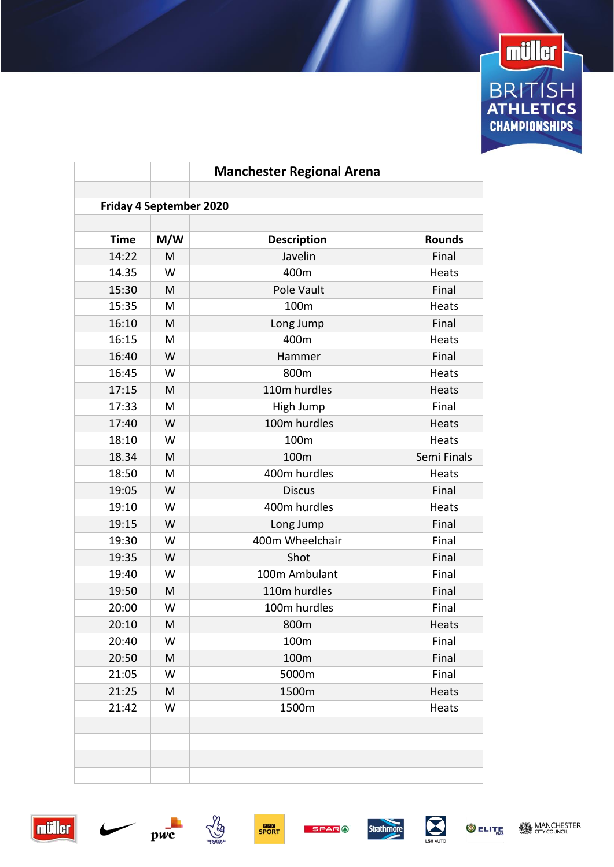

|             |                                | <b>Manchester Regional Arena</b> |                |
|-------------|--------------------------------|----------------------------------|----------------|
|             |                                |                                  |                |
|             | <b>Friday 4 September 2020</b> |                                  |                |
| <b>Time</b> | M/W                            |                                  | <b>Rounds</b>  |
| 14:22       | M                              | <b>Description</b><br>Javelin    | Final          |
| 14.35       | W                              | 400m                             | Heats          |
| 15:30       | M                              | Pole Vault                       | Final          |
| 15:35       | M                              | 100m                             | Heats          |
| 16:10       | M                              |                                  | Final          |
|             | M                              | Long Jump                        |                |
| 16:15       | W                              | 400m                             | Heats<br>Final |
| 16:40       |                                | Hammer                           |                |
| 16:45       | W                              | 800m                             | Heats          |
| 17:15       | M                              | 110m hurdles                     | Heats          |
| 17:33       | M                              | High Jump                        | Final          |
| 17:40       | W                              | 100m hurdles                     | Heats          |
| 18:10       | W                              | 100m                             | Heats          |
| 18.34       | M                              | 100m                             | Semi Finals    |
| 18:50       | M                              | 400m hurdles                     | Heats          |
| 19:05       | W                              | <b>Discus</b>                    | Final          |
| 19:10       | W                              | 400m hurdles                     | Heats          |
| 19:15       | W                              | Long Jump                        | Final          |
| 19:30       | W                              | 400m Wheelchair                  | Final          |
| 19:35       | W                              | Shot                             | Final          |
| 19:40       | W                              | 100m Ambulant                    | Final          |
| 19:50       | M                              | 110m hurdles                     | Final          |
| 20:00       | W                              | 100m hurdles                     | Final          |
| 20:10       | M                              | 800m                             | Heats          |
| 20:40       | W                              | 100m                             | Final          |
| 20:50       | M                              | 100m                             | Final          |
| 21:05       | W                              | 5000m                            | Final          |
| 21:25       | M                              | 1500m                            | Heats          |
| 21:42       | W                              | 1500m                            | Heats          |
|             |                                |                                  |                |
|             |                                |                                  |                |
|             |                                |                                  |                |
|             |                                |                                  |                |











**O ELITE**